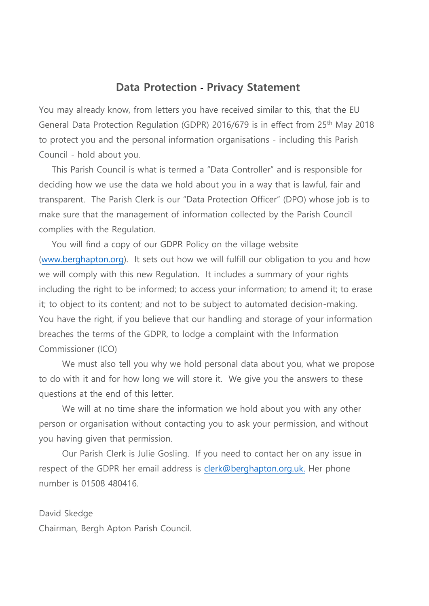## **Data Protection - Privacy Statement**

You may already know, from letters you have received similar to this, that the EU General Data Protection Regulation (GDPR) 2016/679 is in effect from 25th May 2018 to protect you and the personal information organisations - including this Parish Council - hold about you.

This Parish Council is what is termed a "Data Controller" and is responsible for deciding how we use the data we hold about you in a way that is lawful, fair and transparent. The Parish Clerk is our "Data Protection Officer" (DPO) whose job is to make sure that the management of information collected by the Parish Council complies with the Regulation.

You will find a copy of our GDPR Policy on the village website [\(www.berghapton.org\)](http://www.berghapton.org/). It sets out how we will fulfill our obligation to you and how we will comply with this new Regulation. It includes a summary of your rights including the right to be informed; to access your information; to amend it; to erase it; to object to its content; and not to be subject to automated decision-making. You have the right, if you believe that our handling and storage of your information breaches the terms of the GDPR, to lodge a complaint with the Information Commissioner (ICO)

We must also tell you why we hold personal data about you, what we propose to do with it and for how long we will store it. We give you the answers to these questions at the end of this letter.

We will at no time share the information we hold about you with any other person or organisation without contacting you to ask your permission, and without you having given that permission.

Our Parish Clerk is Julie Gosling. If you need to contact her on any issue in respect of the GDPR her email address is [clerk@berghapton.org.uk.](mailto:clerk@berghapton.org.uk) Her phone number is 01508 480416.

David Skedge Chairman, Bergh Apton Parish Council.